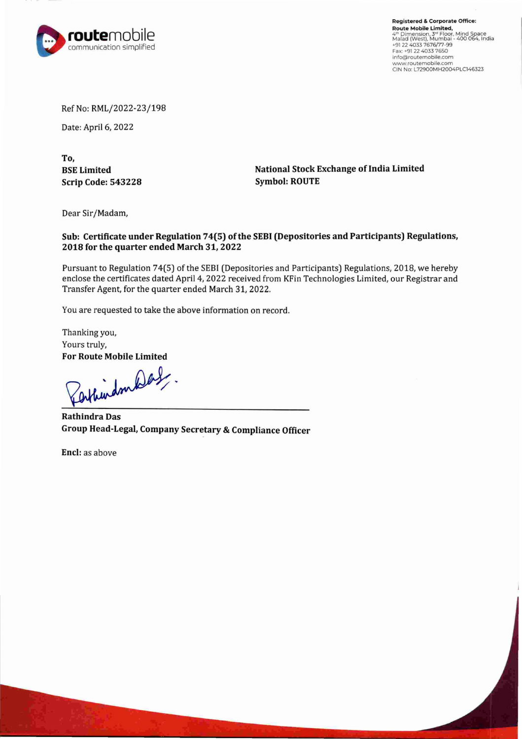

**Registered** & **Corporate Office: Route Mobile Limited,<br><sup>4th</sup> Dimension, 3<sup>-18</sup> Floor, Mind Space<br>Malad (West), Mumbai - 400 064, India<br>+91 22 4033 7676/77-99<br>Fax: +91 22 4033 7650** info@routemobile.com **www.routemobile.com**  CIN No: L72900MH2004PLC146323

Ref No: RML/2022-23/198

Date: April 6, 2022

**To, BSE Limited Scrip Code: 543228** 

**National Stock Exchange of India Limited Symbol: ROUTE** 

Dear Sir/Madam,

## **Sub: Certificate under Regulation 74(5) of the SEBI (Depositories and Participants) Regulations, 2018 for the quarter ended March 31, 2022**

Pursuant to Regulation 74(5) of the SEBI (Depositories and Participants) Regulations, 2018, we hereby enclose the certificates dated April 4, 2022 received from KFin Technologies Limited, our Registrar and Transfer Agent, for the quarter ended March 31, 2022.

You are requested to take the above information on record.

Thanking you, Yours truly,

For Route Mobile Limited<br>Perkhindon

**Rathindra Das Group Head-Legal, Company Secretary & Compliance Officer** 

**Encl:** as above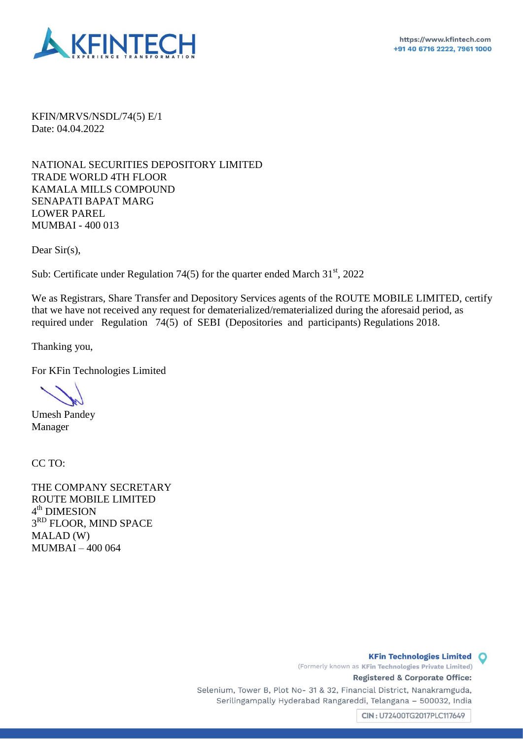

KFIN/MRVS/NSDL/74(5) E/1 Date: 04.04.2022

NATIONAL SECURITIES DEPOSITORY LIMITED TRADE WORLD 4TH FLOOR KAMALA MILLS COMPOUND SENAPATI BAPAT MARG LOWER PAREL MUMBAI - 400 013

Dear Sir(s).

Sub: Certificate under Regulation 74(5) for the quarter ended March  $31<sup>st</sup>$ , 2022

We as Registrars, Share Transfer and Depository Services agents of the ROUTE MOBILE LIMITED, certify that we have not received any request for dematerialized/rematerialized during the aforesaid period, as required under Regulation  $74(5)$  of SEBI (Depositories and participants) Regulations 2018.

Thanking you,

For KFin Technologies Limited

Umesh Pandey Manager

CC TO:

THE COMPANY SECRETARY ROUTE MOBILE LIMITED 4<sup>th</sup> DIMESION 3<sup>RD</sup> FLOOR, MIND SPACE MALAD (W) MUMBAI – 400 064

> **Registered** & **Corporate Office:**  Selenium, Tower B, Plot No- 31 & 32, Financial District, Nanakramguda, Serilingampally Hyderabad Rangareddi, Telangana - 500032, India

> > $CIN: U72400TG2017PLC117649$

(Formerly known as **KFin Technologies Private Limited)** 

**KFin Technologies Limited Q**